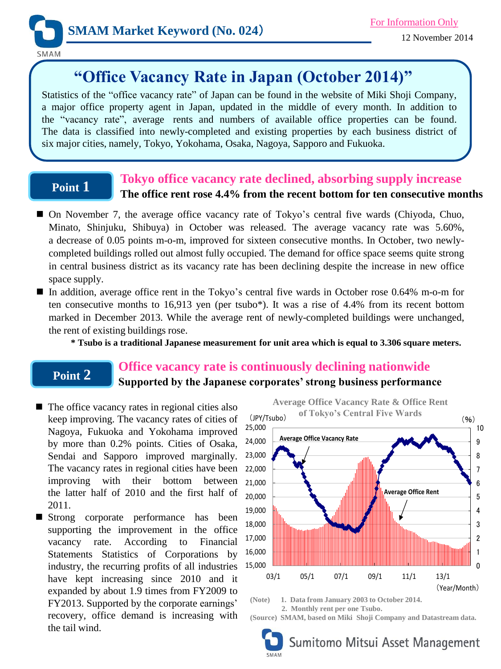

SMAM

# **"Office Vacancy Rate in Japan (October 2014)"**

Statistics of the "office vacancy rate" of Japan can be found in the website of Miki Shoji Company, a major office property agent in Japan, updated in the middle of every month. In addition to the "vacancy rate", average rents and numbers of available office properties can be found. The data is classified into newly-completed and existing properties by each business district of six major cities, namely, Tokyo, Yokohama, Osaka, Nagoya, Sapporo and Fukuoka.

### **Point 1**

### **Tokyo office vacancy rate declined, absorbing supply increase The office rent rose 4.4% from the recent bottom for ten consecutive months**

- On November 7, the average office vacancy rate of Tokyo's central five wards (Chiyoda, Chuo, Minato, Shinjuku, Shibuya) in October was released. The average vacancy rate was 5.60%, a decrease of 0.05 points m-o-m, improved for sixteen consecutive months. In October, two newlycompleted buildings rolled out almost fully occupied. The demand for office space seems quite strong in central business district as its vacancy rate has been declining despite the increase in new office space supply.
- In addition, average office rent in the Tokyo's central five wards in October rose 0.64% m-o-m for ten consecutive months to 16,913 yen (per tsubo\*). It was a rise of 4.4% from its recent bottom marked in December 2013. While the average rent of newly-completed buildings were unchanged, the rent of existing buildings rose.
	- **\* Tsubo is a traditional Japanese measurement for unit area which is equal to 3.306 square meters.**

## **Point 2**

### **Office vacancy rate is continuously declining nationwide Supported by the Japanese corporates' strong business performance**

- $\blacksquare$  The office vacancy rates in regional cities also keep improving. The vacancy rates of cities of Nagoya, Fukuoka and Yokohama improved by more than 0.2% points. Cities of Osaka, Sendai and Sapporo improved marginally. The vacancy rates in regional cities have been improving with their bottom between the latter half of 2010 and the first half of 2011.
- Strong corporate performance has been supporting the improvement in the office vacancy rate. According to Financial Statements Statistics of Corporations by industry, the recurring profits of all industries have kept increasing since 2010 and it expanded by about 1.9 times from FY2009 to FY2013. Supported by the corporate earnings' recovery, office demand is increasing with the tail wind.

**Average Office Vacancy Rate & Office Rent of Tokyo's Central Five Wards** (JPY/Tsubo) (%) 0 1 2 3 4 5 6 7 8 9 10 15,000 16,000 17,000 18,000 19,000 20,000 21,000 22,000 23,000 24,000 25,000 03/1 05/1 07/1 09/1 11/1 13/1 **Average Office Vacancy Rate Average Office Rent** 

**(Note) 1. Data from January 2003 to October 2014. 2. Monthly rent per one Tsubo.**

**(Source) SMAM, based on Miki Shoji Company and Datastream data.**



(Year/Month)